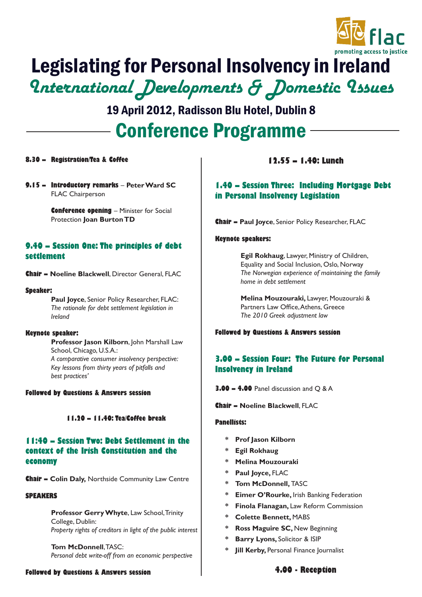

## Legislating for Personal Insolvency in Ireland International Developments & Domestic Issues

Conference Programme 19 April 2012, Radisson Blu Hotel, Dublin 8

## **8.30 – Registration/Tea & Coffee**

**9.15 – Introductory remarks** – **Peter Ward SC** FLAC Chairperson

> **Conference opening** – Minister for Social Protection **Joan Burton TD**

## **9.40 – Session One: The principles of debt settlement**

**Chair – Noeline Blackwell**, Director General, FLAC

#### **Speaker:**

**Paul Joyce**, Senior Policy Researcher, FLAC: *The rationale for debt settlement legislation in Ireland*

#### **Keynote speaker:**

**Professor Jason Kilborn**, John Marshall Law School, Chicago, U.S.A.: *A comparative consumer insolvency perspective: Key lessons from thirty years of pitfalls and best practices'*

### **Followed by Questions & Answers session**

## **11.20 – 11.40: Tea/Coffee break**

## **11:40 – Session Two: Debt Settlement in the context of the Irish Constitution and the economy**

**Chair – Colin Daly,** Northside Community Law Centre

#### **SPEAKERS**

**Professor Gerry Whyte**, Law School, Trinity College, Dublin: *Property rights of creditors in light of the public interest*

**Tom McDonnell**, TASC: *Personal debt write-off from an economic perspective*

#### **Followed by Questions & Answers session**

## **12.55 – 1.40: Lunch**

## **1.40 – Session Three: Including Mortgage Debt in Personal Insolvency Legislation**

**Chair – Paul Joyce**, Senior Policy Researcher, FLAC

### **Keynote speakers:**

**Egil Rokhaug**, Lawyer, Ministry of Children, Equality and Social Inclusion, Oslo, Norway *The Norwegian experience of maintaining the family home in debt settlement*

**Melina Mouzouraki,** Lawyer, Mouzouraki & Partners Law Office, Athens, Greece *The 2010 Greek adjustment law*

#### **Followed by Questions & Answers session**

## **3.00 – Session Four: The Future for Personal Insolvency in Ireland**

**3.00 – 4.00** Panel discussion and Q & A

**Chair – Noeline Blackwell**, FLAC

#### **Panellists:**

- **\* Prof Jason Kilborn**
- **\* Egil Rokhaug**
- **\* Melina Mouzouraki**
- Paul Joyce, FLAC
- **Tom McDonnell, TASC**
- **\* Eimer O'Rourke,** Irish Banking Federation
- **Finola Flanagan, Law Reform Commission**
- **\* Colette Bennett,** MABS
- **Ross Maguire SC, New Beginning**
- **Barry Lyons, Solicitor & ISIP**
- **Jill Kerby, Personal Finance Journalist**

## **4.00 - Reception**